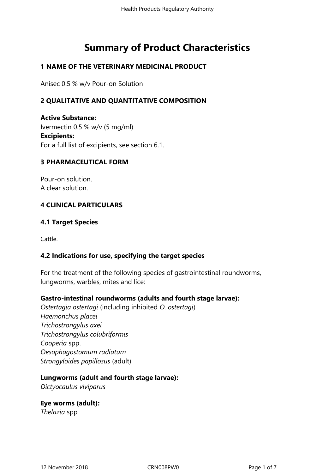# **Summary of Product Characteristics**

#### **1 NAME OF THE VETERINARY MEDICINAL PRODUCT**

Anisec 0.5 % w/v Pour-on Solution

## **2 QUALITATIVE AND QUANTITATIVE COMPOSITION**

**Active Substance:** Ivermectin 0.5 % w/v (5 mg/ml) **Excipients:** For a full list of excipients, see section 6.1.

#### **3 PHARMACEUTICAL FORM**

Pour-on solution. A clear solution.

#### **4 CLINICAL PARTICULARS**

#### **4.1 Target Species**

Cattle.

#### **4.2 Indications for use, specifying the target species**

For the treatment of the following species of gastrointestinal roundworms, lungworms, warbles, mites and lice:

#### **Gastro-intestinal roundworms (adults and fourth stage larvae):**

*Ostertagia ostertagi* (including inhibited *O. ostertagi*) *Haemonchus placei Trichostrongylus axei Trichostrongylus colubriformis Cooperia* spp. *Oesophagostomum radiatum Strongyloides papillosus* (adult)

#### **Lungworms (adult and fourth stage larvae):**

*Dictyocaulus viviparus* 

**Eye worms (adult):** *Thelazia* spp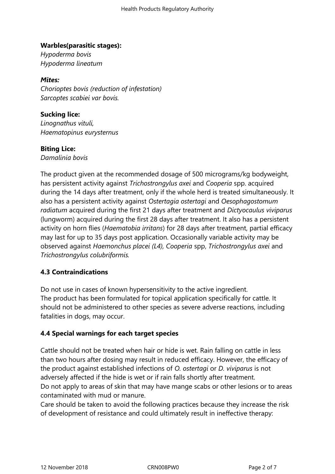## **Warbles(parasitic stages):**

*Hypoderma bovis Hypoderma lineatum*

## *Mites:*

*Chorioptes bovis (reduction of infestation) Sarcoptes scabiei var bovis.* 

# **Sucking lice:**

*Linognathus vituli, Haematopinus eurysternus*

#### **Biting Lice:**

*Damalinia bovis*

The product given at the recommended dosage of 500 micrograms/kg bodyweight, has persistent activity against *Trichostrongylus axei* and *Cooperia* spp. acquired during the 14 days after treatment, only if the whole herd is treated simultaneously. It also has a persistent activity against *Ostertagia ostertagi* and *Oesophagostomum radiatum* acquired during the first 21 days after treatment and *Dictyocaulus viviparus* (lungworm) acquired during the first 28 days after treatment. It also has a persistent activity on horn flies (*Haematobia irritans*) for 28 days after treatment, partial efficacy may last for up to 35 days post application. Occasionally variable activity may be observed against *Haemonchus placei (L4), Cooperia* spp, *Trichostrongylus axei* and *Trichostrongylus colubriformis.*

# **4.3 Contraindications**

Do not use in cases of known hypersensitivity to the active ingredient. The product has been formulated for topical application specifically for cattle. It should not be administered to other species as severe adverse reactions, including fatalities in dogs, may occur.

# **4.4 Special warnings for each target species**

Cattle should not be treated when hair or hide is wet. Rain falling on cattle in less than two hours after dosing may result in reduced efficacy. However, the efficacy of the product against established infections of *O. ostertagi* or *D. viviparus* is not adversely affected if the hide is wet or if rain falls shortly after treatment. Do not apply to areas of skin that may have mange scabs or other lesions or to areas contaminated with mud or manure.

Care should be taken to avoid the following practices because they increase the risk of development of resistance and could ultimately result in ineffective therapy: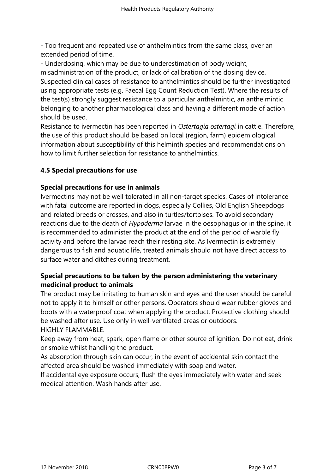- Too frequent and repeated use of anthelmintics from the same class, over an extended period of time.

- Underdosing, which may be due to underestimation of body weight, misadministration of the product, or lack of calibration of the dosing device. Suspected clinical cases of resistance to anthelmintics should be further investigated using appropriate tests (e.g. Faecal Egg Count Reduction Test). Where the results of the test(s) strongly suggest resistance to a particular anthelmintic, an anthelmintic belonging to another pharmacological class and having a different mode of action should be used.

Resistance to ivermectin has been reported in *Ostertagia ostertagi* in cattle. Therefore, the use of this product should be based on local (region, farm) epidemiological information about susceptibility of this helminth species and recommendations on how to limit further selection for resistance to anthelmintics.

## **4.5 Special precautions for use**

#### **Special precautions for use in animals**

Ivermectins may not be well tolerated in all non-target species. Cases of intolerance with fatal outcome are reported in dogs, especially Collies, Old English Sheepdogs and related breeds or crosses, and also in turtles/tortoises. To avoid secondary reactions due to the death of *Hypoderma* larvae in the oesophagus or in the spine, it is recommended to administer the product at the end of the period of warble fly activity and before the larvae reach their resting site. As Ivermectin is extremely dangerous to fish and aquatic life, treated animals should not have direct access to surface water and ditches during treatment.

## **Special precautions to be taken by the person administering the veterinary medicinal product to animals**

The product may be irritating to human skin and eyes and the user should be careful not to apply it to himself or other persons. Operators should wear rubber gloves and boots with a waterproof coat when applying the product. Protective clothing should be washed after use. Use only in well-ventilated areas or outdoors. HIGHLY FLAMMABLE.

Keep away from heat, spark, open flame or other source of ignition. Do not eat, drink or smoke whilst handling the product.

As absorption through skin can occur, in the event of accidental skin contact the affected area should be washed immediately with soap and water.

If accidental eye exposure occurs, flush the eyes immediately with water and seek medical attention. Wash hands after use.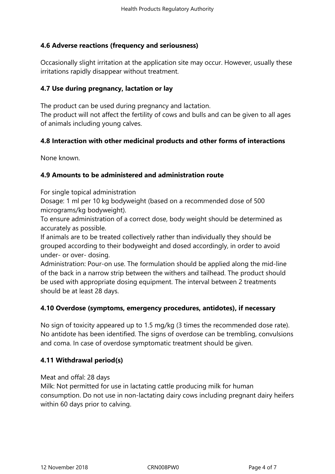## **4.6 Adverse reactions (frequency and seriousness)**

Occasionally slight irritation at the application site may occur. However, usually these irritations rapidly disappear without treatment.

## **4.7 Use during pregnancy, lactation or lay**

The product can be used during pregnancy and lactation. The product will not affect the fertility of cows and bulls and can be given to all ages of animals including young calves.

#### **4.8 Interaction with other medicinal products and other forms of interactions**

None known.

#### **4.9 Amounts to be administered and administration route**

For single topical administration

Dosage: 1 ml per 10 kg bodyweight (based on a recommended dose of 500 micrograms/kg bodyweight).

To ensure administration of a correct dose, body weight should be determined as accurately as possible.

If animals are to be treated collectively rather than individually they should be grouped according to their bodyweight and dosed accordingly, in order to avoid under- or over- dosing.

Administration: Pour-on use. The formulation should be applied along the mid-line of the back in a narrow strip between the withers and tailhead. The product should be used with appropriate dosing equipment. The interval between 2 treatments should be at least 28 days.

#### **4.10 Overdose (symptoms, emergency procedures, antidotes), if necessary**

No sign of toxicity appeared up to 1.5 mg/kg (3 times the recommended dose rate). No antidote has been identified. The signs of overdose can be trembling, convulsions and coma. In case of overdose symptomatic treatment should be given.

#### **4.11 Withdrawal period(s)**

Meat and offal: 28 days

Milk: Not permitted for use in lactating cattle producing milk for human consumption. Do not use in non-lactating dairy cows including pregnant dairy heifers within 60 days prior to calving.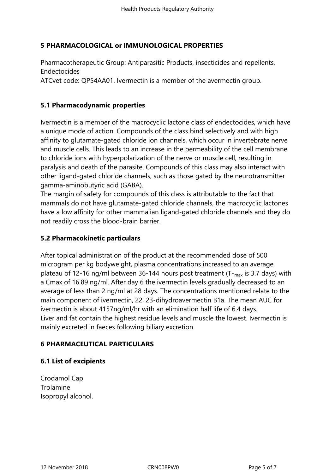## **5 PHARMACOLOGICAL or IMMUNOLOGICAL PROPERTIES**

Pharmacotherapeutic Group: Antiparasitic Products, insecticides and repellents, Endectocides

ATCvet code: QP54AA01. Ivermectin is a member of the avermectin group.

## **5.1 Pharmacodynamic properties**

Ivermectin is a member of the macrocyclic lactone class of endectocides, which have a unique mode of action. Compounds of the class bind selectively and with high affinity to glutamate-gated chloride ion channels, which occur in invertebrate nerve and muscle cells. This leads to an increase in the permeability of the cell membrane to chloride ions with hyperpolarization of the nerve or muscle cell, resulting in paralysis and death of the parasite. Compounds of this class may also interact with other ligand-gated chloride channels, such as those gated by the neurotransmitter gamma-aminobutyric acid (GABA).

The margin of safety for compounds of this class is attributable to the fact that mammals do not have glutamate-gated chloride channels, the macrocyclic lactones have a low affinity for other mammalian ligand-gated chloride channels and they do not readily cross the blood-brain barrier.

## **5.2 Pharmacokinetic particulars**

After topical administration of the product at the recommended dose of 500 microgram per kg bodyweight, plasma concentrations increased to an average plateau of 12-16 ng/ml between 36-144 hours post treatment  $(T<sub>max</sub>)$  is 3.7 days) with a Cmax of 16.89 ng/ml. After day 6 the ivermectin levels gradually decreased to an average of less than 2 ng/ml at 28 days. The concentrations mentioned relate to the main component of ivermectin, 22, 23-dihydroavermectin B1a. The mean AUC for ivermectin is about 4157ng/ml/hr with an elimination half life of 6.4 days. Liver and fat contain the highest residue levels and muscle the lowest. Ivermectin is mainly excreted in faeces following biliary excretion.

# **6 PHARMACEUTICAL PARTICULARS**

#### **6.1 List of excipients**

Crodamol Cap Trolamine Isopropyl alcohol.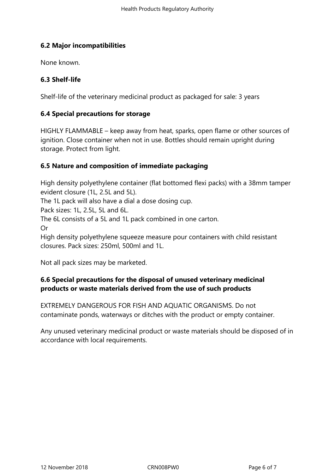# **6.2 Major incompatibilities**

None known.

# **6.3 Shelf-life**

Shelf-life of the veterinary medicinal product as packaged for sale: 3 years

## **6.4 Special precautions for storage**

HIGHLY FLAMMABLE – keep away from heat, sparks, open flame or other sources of ignition. Close container when not in use. Bottles should remain upright during storage. Protect from light.

## **6.5 Nature and composition of immediate packaging**

High density polyethylene container (flat bottomed flexi packs) with a 38mm tamper evident closure (1L, 2.5L and 5L).

The 1L pack will also have a dial a dose dosing cup.

Pack sizes: 1L, 2.5L, 5L and 6L.

The 6L consists of a 5L and 1L pack combined in one carton.

Or

High density polyethylene squeeze measure pour containers with child resistant closures. Pack sizes: 250ml, 500ml and 1L.

Not all pack sizes may be marketed.

# **6.6 Special precautions for the disposal of unused veterinary medicinal products or waste materials derived from the use of such products**

EXTREMELY DANGEROUS FOR FISH AND AQUATIC ORGANISMS. Do not contaminate ponds, waterways or ditches with the product or empty container.

Any unused veterinary medicinal product or waste materials should be disposed of in accordance with local requirements.